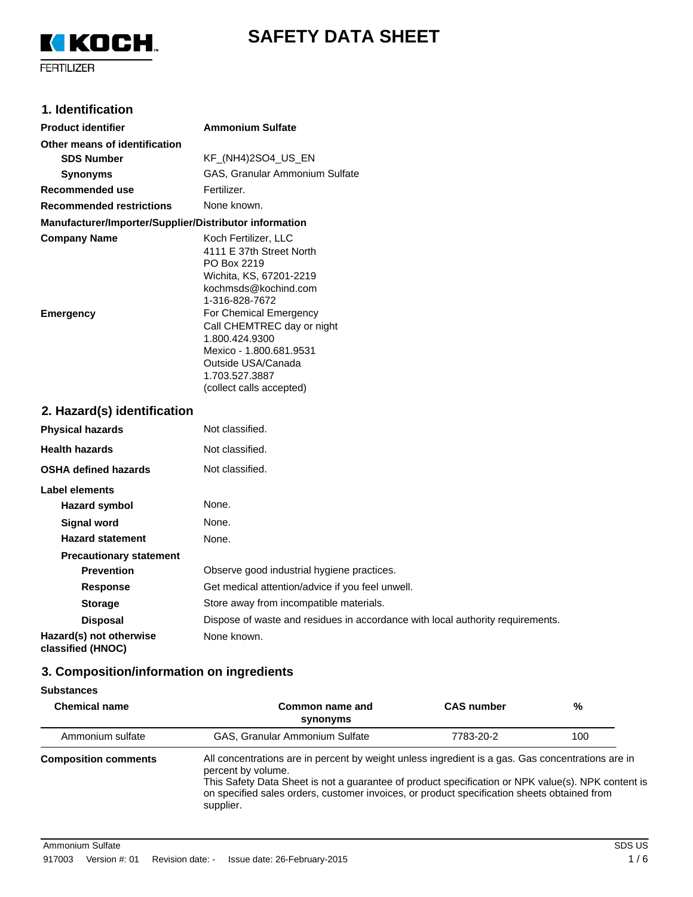



## **1. Identification**

| <b>Product identifier</b>                              | <b>Ammonium Sulfate</b>                                                                                                                                                                                                                                                                                       |
|--------------------------------------------------------|---------------------------------------------------------------------------------------------------------------------------------------------------------------------------------------------------------------------------------------------------------------------------------------------------------------|
| Other means of identification                          |                                                                                                                                                                                                                                                                                                               |
| <b>SDS Number</b>                                      | KF_(NH4)2SO4_US_EN                                                                                                                                                                                                                                                                                            |
| <b>Synonyms</b>                                        | GAS, Granular Ammonium Sulfate                                                                                                                                                                                                                                                                                |
| Recommended use                                        | Fertilizer.                                                                                                                                                                                                                                                                                                   |
| <b>Recommended restrictions</b>                        | None known.                                                                                                                                                                                                                                                                                                   |
| Manufacturer/Importer/Supplier/Distributor information |                                                                                                                                                                                                                                                                                                               |
| <b>Company Name</b><br><b>Emergency</b>                | Koch Fertilizer, LLC<br>4111 E 37th Street North<br>PO Box 2219<br>Wichita, KS, 67201-2219<br>kochmsds@kochind.com<br>1-316-828-7672<br>For Chemical Emergency<br>Call CHEMTREC day or night<br>1.800.424.9300<br>Mexico - 1.800.681.9531<br>Outside USA/Canada<br>1.703.527.3887<br>(collect calls accepted) |
| 2. Hazard(s) identification                            |                                                                                                                                                                                                                                                                                                               |
| <b>Physical hazards</b>                                | Not classified.                                                                                                                                                                                                                                                                                               |
| <b>Health hazards</b>                                  | Not classified.                                                                                                                                                                                                                                                                                               |
| <b>OSHA defined hazards</b>                            | Not classified.                                                                                                                                                                                                                                                                                               |
| Label elements                                         |                                                                                                                                                                                                                                                                                                               |
| <b>Hazard symbol</b>                                   | None.                                                                                                                                                                                                                                                                                                         |
| <b>Signal word</b>                                     | None.                                                                                                                                                                                                                                                                                                         |
| <b>Hazard statement</b>                                | None.                                                                                                                                                                                                                                                                                                         |
| <b>Precautionary statement</b>                         |                                                                                                                                                                                                                                                                                                               |
| <b>Prevention</b>                                      | Observe good industrial hygiene practices.                                                                                                                                                                                                                                                                    |
| <b>Response</b>                                        | Get medical attention/advice if you feel unwell.                                                                                                                                                                                                                                                              |
| <b>Storage</b>                                         | Store away from incompatible materials.                                                                                                                                                                                                                                                                       |
| <b>Disposal</b>                                        | Dispose of waste and residues in accordance with local authority requirements.                                                                                                                                                                                                                                |
| Hazard(s) not otherwise                                | None known.                                                                                                                                                                                                                                                                                                   |

# **classified (HNOC)**

# **3. Composition/information on ingredients**

| <b>Substances</b> |
|-------------------|
|-------------------|

| <b>Chemical name</b>        | Common name and<br>synonyms                                                                                                                                                                                                                                                                                                               | <b>CAS</b> number | %   |
|-----------------------------|-------------------------------------------------------------------------------------------------------------------------------------------------------------------------------------------------------------------------------------------------------------------------------------------------------------------------------------------|-------------------|-----|
| Ammonium sulfate            | GAS, Granular Ammonium Sulfate                                                                                                                                                                                                                                                                                                            | 7783-20-2         | 100 |
| <b>Composition comments</b> | All concentrations are in percent by weight unless ingredient is a gas. Gas concentrations are in<br>percent by volume.<br>This Safety Data Sheet is not a guarantee of product specification or NPK value(s). NPK content is<br>on specified sales orders, customer invoices, or product specification sheets obtained from<br>supplier. |                   |     |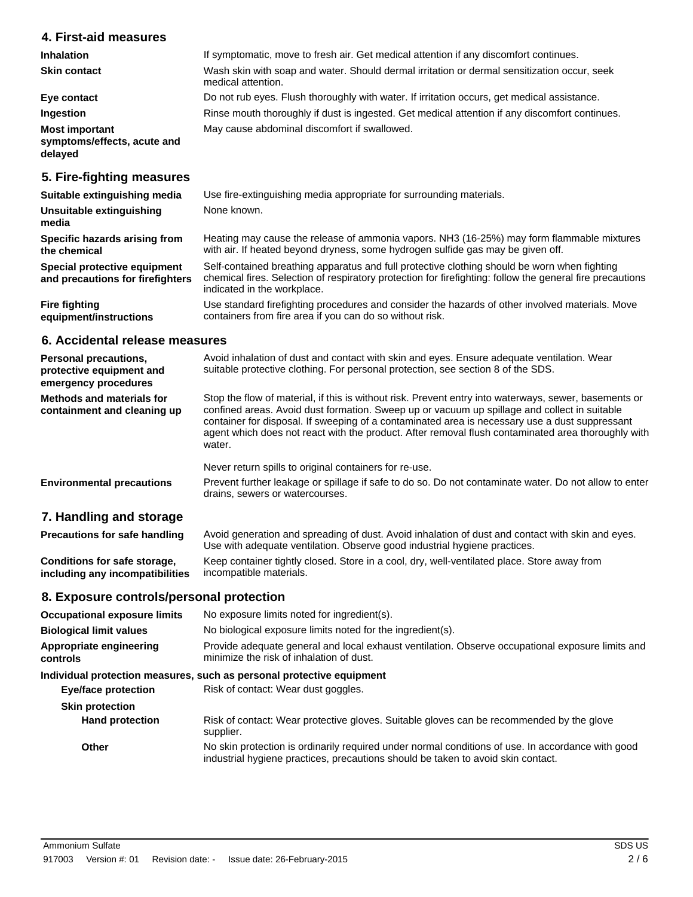## **4. First-aid measures**

| <b>Inhalation</b>                                               | If symptomatic, move to fresh air. Get medical attention if any discomfort continues.                             |
|-----------------------------------------------------------------|-------------------------------------------------------------------------------------------------------------------|
| <b>Skin contact</b>                                             | Wash skin with soap and water. Should dermal irritation or dermal sensitization occur, seek<br>medical attention. |
| Eye contact                                                     | Do not rub eyes. Flush thoroughly with water. If irritation occurs, get medical assistance.                       |
| Ingestion                                                       | Rinse mouth thoroughly if dust is ingested. Get medical attention if any discomfort continues.                    |
| <b>Most important</b><br>symptoms/effects, acute and<br>delayed | May cause abdominal discomfort if swallowed.                                                                      |
|                                                                 |                                                                                                                   |

## **5. Fire-fighting measures**

| Suitable extinguishing media                                     | Use fire-extinguishing media appropriate for surrounding materials.                                                                                                                                                                      |  |
|------------------------------------------------------------------|------------------------------------------------------------------------------------------------------------------------------------------------------------------------------------------------------------------------------------------|--|
| Unsuitable extinguishing<br>media                                | None known.                                                                                                                                                                                                                              |  |
| Specific hazards arising from<br>the chemical                    | Heating may cause the release of ammonia vapors. NH3 (16-25%) may form flammable mixtures<br>with air. If heated beyond dryness, some hydrogen sulfide gas may be given off.                                                             |  |
| Special protective equipment<br>and precautions for firefighters | Self-contained breathing apparatus and full protective clothing should be worn when fighting<br>chemical fires. Selection of respiratory protection for firefighting: follow the general fire precautions<br>indicated in the workplace. |  |
| <b>Fire fighting</b><br>equipment/instructions                   | Use standard firefighting procedures and consider the hazards of other involved materials. Move<br>containers from fire area if you can do so without risk.                                                                              |  |

## **6. Accidental release measures**

| <b>Personal precautions,</b><br>protective equipment and<br>emergency procedures | Avoid inhalation of dust and contact with skin and eyes. Ensure adequate ventilation. Wear<br>suitable protective clothing. For personal protection, see section 8 of the SDS.                                                                                                                                                                                                                                          |
|----------------------------------------------------------------------------------|-------------------------------------------------------------------------------------------------------------------------------------------------------------------------------------------------------------------------------------------------------------------------------------------------------------------------------------------------------------------------------------------------------------------------|
| Methods and materials for<br>containment and cleaning up                         | Stop the flow of material, if this is without risk. Prevent entry into waterways, sewer, basements or<br>confined areas. Avoid dust formation. Sweep up or vacuum up spillage and collect in suitable<br>container for disposal. If sweeping of a contaminated area is necessary use a dust suppressant<br>agent which does not react with the product. After removal flush contaminated area thoroughly with<br>water. |
|                                                                                  | Never return spills to original containers for re-use.                                                                                                                                                                                                                                                                                                                                                                  |
| <b>Environmental precautions</b>                                                 | Prevent further leakage or spillage if safe to do so. Do not contaminate water. Do not allow to enter<br>drains, sewers or watercourses.                                                                                                                                                                                                                                                                                |

# **7. Handling and storage**

| <b>Precautions for safe handling</b> | Avoid generation and spreading of dust. Avoid inhalation of dust and contact with skin and eyes.<br>Use with adequate ventilation. Observe good industrial hygiene practices. |
|--------------------------------------|-------------------------------------------------------------------------------------------------------------------------------------------------------------------------------|
| Conditions for safe storage.         | Keep container tightly closed. Store in a cool, dry, well-ventilated place. Store away from                                                                                   |
| including any incompatibilities      | incompatible materials.                                                                                                                                                       |

## **8. Exposure controls/personal protection**

| <b>Occupational exposure limits</b> | No exposure limits noted for ingredient(s).                                                                                                                                           |  |
|-------------------------------------|---------------------------------------------------------------------------------------------------------------------------------------------------------------------------------------|--|
| <b>Biological limit values</b>      | No biological exposure limits noted for the ingredient(s).                                                                                                                            |  |
| Appropriate engineering<br>controls | Provide adequate general and local exhaust ventilation. Observe occupational exposure limits and<br>minimize the risk of inhalation of dust.                                          |  |
|                                     | Individual protection measures, such as personal protective equipment                                                                                                                 |  |
| <b>Eye/face protection</b>          | Risk of contact: Wear dust goggles.                                                                                                                                                   |  |
| <b>Skin protection</b>              |                                                                                                                                                                                       |  |
| <b>Hand protection</b>              | Risk of contact: Wear protective gloves. Suitable gloves can be recommended by the glove<br>supplier.                                                                                 |  |
| Other                               | No skin protection is ordinarily required under normal conditions of use. In accordance with good<br>industrial hygiene practices, precautions should be taken to avoid skin contact. |  |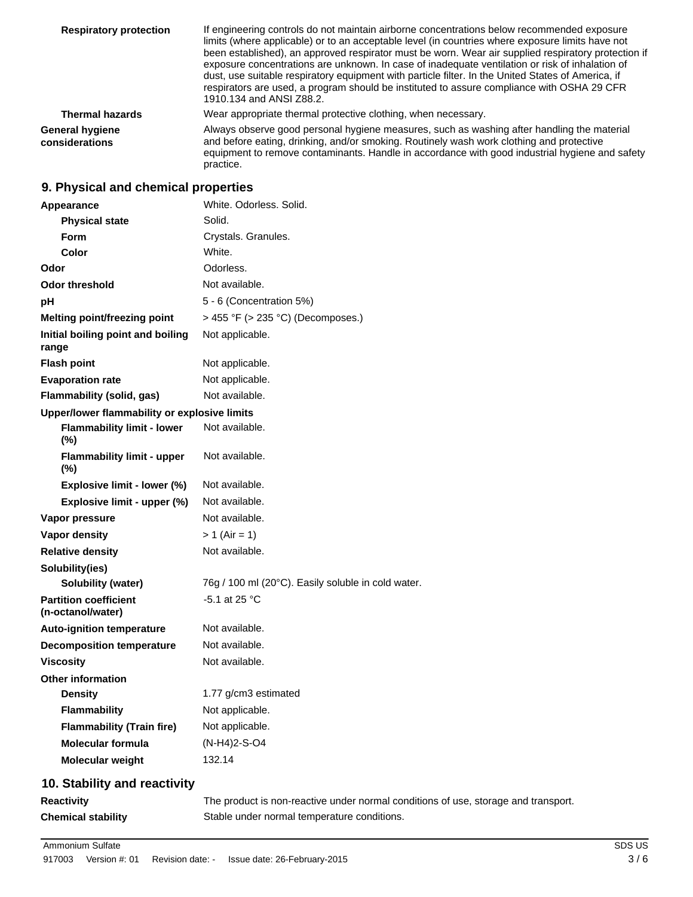| <b>Respiratory protection</b>     | If engineering controls do not maintain airborne concentrations below recommended exposure<br>limits (where applicable) or to an acceptable level (in countries where exposure limits have not<br>been established), an approved respirator must be worn. Wear air supplied respiratory protection if<br>exposure concentrations are unknown. In case of inadequate ventilation or risk of inhalation of<br>dust, use suitable respiratory equipment with particle filter. In the United States of America, if<br>respirators are used, a program should be instituted to assure compliance with OSHA 29 CFR<br>1910.134 and ANSI Z88.2. |
|-----------------------------------|------------------------------------------------------------------------------------------------------------------------------------------------------------------------------------------------------------------------------------------------------------------------------------------------------------------------------------------------------------------------------------------------------------------------------------------------------------------------------------------------------------------------------------------------------------------------------------------------------------------------------------------|
| <b>Thermal hazards</b>            | Wear appropriate thermal protective clothing, when necessary.                                                                                                                                                                                                                                                                                                                                                                                                                                                                                                                                                                            |
| General hygiene<br>considerations | Always observe good personal hygiene measures, such as washing after handling the material<br>and before eating, drinking, and/or smoking. Routinely wash work clothing and protective<br>equipment to remove contaminants. Handle in accordance with good industrial hygiene and safety<br>practice.                                                                                                                                                                                                                                                                                                                                    |

# **9. Physical and chemical properties**

| Appearance                                        | White. Odorless. Solid.                            |  |
|---------------------------------------------------|----------------------------------------------------|--|
| <b>Physical state</b>                             | Solid.                                             |  |
| <b>Form</b>                                       | Crystals. Granules.                                |  |
| Color                                             | White.                                             |  |
| Odor                                              | Odorless.                                          |  |
| <b>Odor threshold</b>                             | Not available.                                     |  |
| рH                                                | 5 - 6 (Concentration 5%)                           |  |
| <b>Melting point/freezing point</b>               | > 455 °F (> 235 °C) (Decomposes.)                  |  |
| Initial boiling point and boiling<br>range        | Not applicable.                                    |  |
| <b>Flash point</b>                                | Not applicable.                                    |  |
| <b>Evaporation rate</b>                           | Not applicable.                                    |  |
| Flammability (solid, gas)                         | Not available.                                     |  |
| Upper/lower flammability or explosive limits      |                                                    |  |
| <b>Flammability limit - lower</b><br>(%)          | Not available.                                     |  |
| <b>Flammability limit - upper</b><br>(%)          | Not available.                                     |  |
| Explosive limit - lower (%)                       | Not available.                                     |  |
| Explosive limit - upper (%)                       | Not available.                                     |  |
| Vapor pressure                                    | Not available.                                     |  |
| <b>Vapor density</b>                              | $> 1$ (Air = 1)                                    |  |
| <b>Relative density</b>                           | Not available.                                     |  |
| Solubility(ies)                                   |                                                    |  |
| <b>Solubility (water)</b>                         | 76g / 100 ml (20°C). Easily soluble in cold water. |  |
| <b>Partition coefficient</b><br>(n-octanol/water) | -5.1 at 25 $^{\circ}$ C                            |  |
| <b>Auto-ignition temperature</b>                  | Not available.                                     |  |
| <b>Decomposition temperature</b>                  | Not available.                                     |  |
| <b>Viscosity</b>                                  | Not available.                                     |  |
| <b>Other information</b>                          |                                                    |  |
| <b>Density</b>                                    | 1.77 g/cm3 estimated                               |  |
| <b>Flammability</b>                               | Not applicable.                                    |  |
| <b>Flammability (Train fire)</b>                  | Not applicable.                                    |  |
| <b>Molecular formula</b>                          | (N-H4)2-S-O4                                       |  |
| <b>Molecular weight</b>                           | 132.14                                             |  |

# **10. Stability and reactivity**

| <b>Reactivity</b>         | The product is non-reactive under normal conditions of use, storage and transport. |
|---------------------------|------------------------------------------------------------------------------------|
| <b>Chemical stability</b> | Stable under normal temperature conditions.                                        |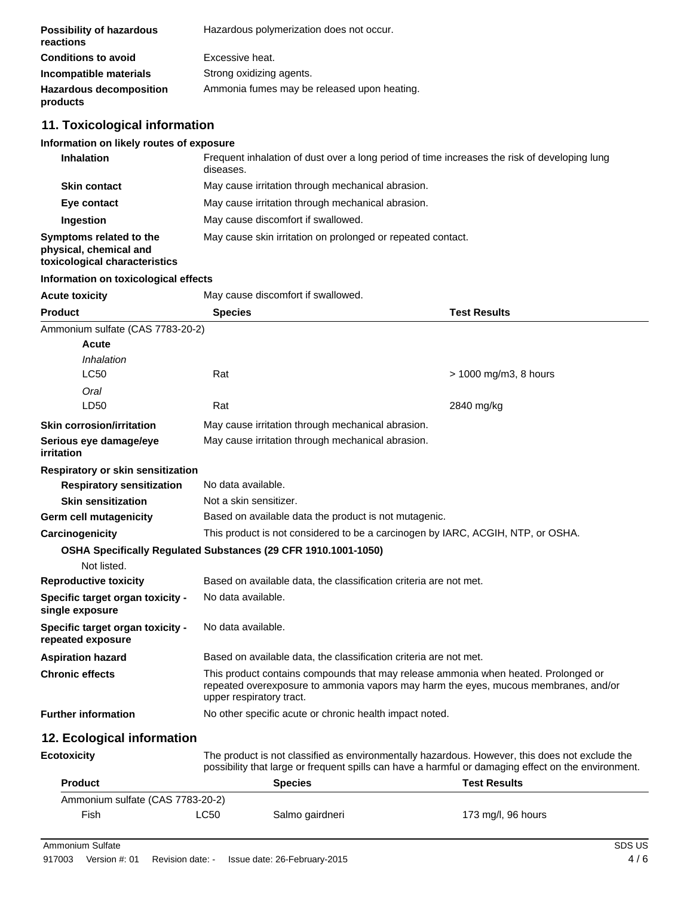| <b>Possibility of hazardous</b><br>reactions | Hazardous polymerization does not occur.    |
|----------------------------------------------|---------------------------------------------|
| <b>Conditions to avoid</b>                   | Excessive heat.                             |
| Incompatible materials                       | Strong oxidizing agents.                    |
| <b>Hazardous decomposition</b><br>products   | Ammonia fumes may be released upon heating. |

# **11. Toxicological information**

# **Information on likely routes of exposure**

| <b>Inhalation</b>                                                                  | Frequent inhalation of dust over a long period of time increases the risk of developing lung<br>diseases. |
|------------------------------------------------------------------------------------|-----------------------------------------------------------------------------------------------------------|
| <b>Skin contact</b>                                                                | May cause irritation through mechanical abrasion.                                                         |
| Eye contact                                                                        | May cause irritation through mechanical abrasion.                                                         |
| Ingestion                                                                          | May cause discomfort if swallowed.                                                                        |
| Symptoms related to the<br>physical, chemical and<br>toxicological characteristics | May cause skin irritation on prolonged or repeated contact.                                               |

#### **Information on toxicological effects**

| <b>Acute toxicity</b>                                 | May cause discomfort if swallowed.                                                                                                                                                                    |                       |  |
|-------------------------------------------------------|-------------------------------------------------------------------------------------------------------------------------------------------------------------------------------------------------------|-----------------------|--|
| <b>Product</b>                                        | <b>Species</b>                                                                                                                                                                                        | <b>Test Results</b>   |  |
| Ammonium sulfate (CAS 7783-20-2)                      |                                                                                                                                                                                                       |                       |  |
| Acute                                                 |                                                                                                                                                                                                       |                       |  |
| Inhalation                                            |                                                                                                                                                                                                       |                       |  |
| <b>LC50</b>                                           | Rat                                                                                                                                                                                                   | > 1000 mg/m3, 8 hours |  |
| Oral                                                  |                                                                                                                                                                                                       |                       |  |
| LD50                                                  | Rat                                                                                                                                                                                                   | 2840 mg/kg            |  |
| <b>Skin corrosion/irritation</b>                      | May cause irritation through mechanical abrasion.                                                                                                                                                     |                       |  |
| Serious eye damage/eye<br><b>irritation</b>           | May cause irritation through mechanical abrasion.                                                                                                                                                     |                       |  |
| Respiratory or skin sensitization                     |                                                                                                                                                                                                       |                       |  |
| <b>Respiratory sensitization</b>                      | No data available.                                                                                                                                                                                    |                       |  |
| <b>Skin sensitization</b>                             | Not a skin sensitizer.                                                                                                                                                                                |                       |  |
| Germ cell mutagenicity                                | Based on available data the product is not mutagenic.                                                                                                                                                 |                       |  |
| Carcinogenicity                                       | This product is not considered to be a carcinogen by IARC, ACGIH, NTP, or OSHA.                                                                                                                       |                       |  |
| Not listed.                                           | OSHA Specifically Regulated Substances (29 CFR 1910.1001-1050)                                                                                                                                        |                       |  |
| <b>Reproductive toxicity</b>                          | Based on available data, the classification criteria are not met.                                                                                                                                     |                       |  |
| Specific target organ toxicity -<br>single exposure   | No data available.                                                                                                                                                                                    |                       |  |
| Specific target organ toxicity -<br>repeated exposure | No data available.                                                                                                                                                                                    |                       |  |
| <b>Aspiration hazard</b>                              | Based on available data, the classification criteria are not met.                                                                                                                                     |                       |  |
| <b>Chronic effects</b>                                | This product contains compounds that may release ammonia when heated. Prolonged or<br>repeated overexposure to ammonia vapors may harm the eyes, mucous membranes, and/or<br>upper respiratory tract. |                       |  |
| <b>Further information</b>                            | No other specific acute or chronic health impact noted.                                                                                                                                               |                       |  |
| 12. Ecological information                            |                                                                                                                                                                                                       |                       |  |
| <b>Ecotoxicity</b>                                    | The product is not classified as environmentally hazardous. However, this does not exclude the<br>possibility that large or frequent spills can have a harmful or damaging effect on the environment. |                       |  |
| <b>Product</b>                                        | Snacias                                                                                                                                                                                               | Tact Raculte          |  |

| <b>Product</b>                   |      | <b>Species</b>  | <b>Test Results</b> |
|----------------------------------|------|-----------------|---------------------|
| Ammonium sulfate (CAS 7783-20-2) |      |                 |                     |
| Fish                             | LC50 | Salmo gairdneri | 173 mg/l, 96 hours  |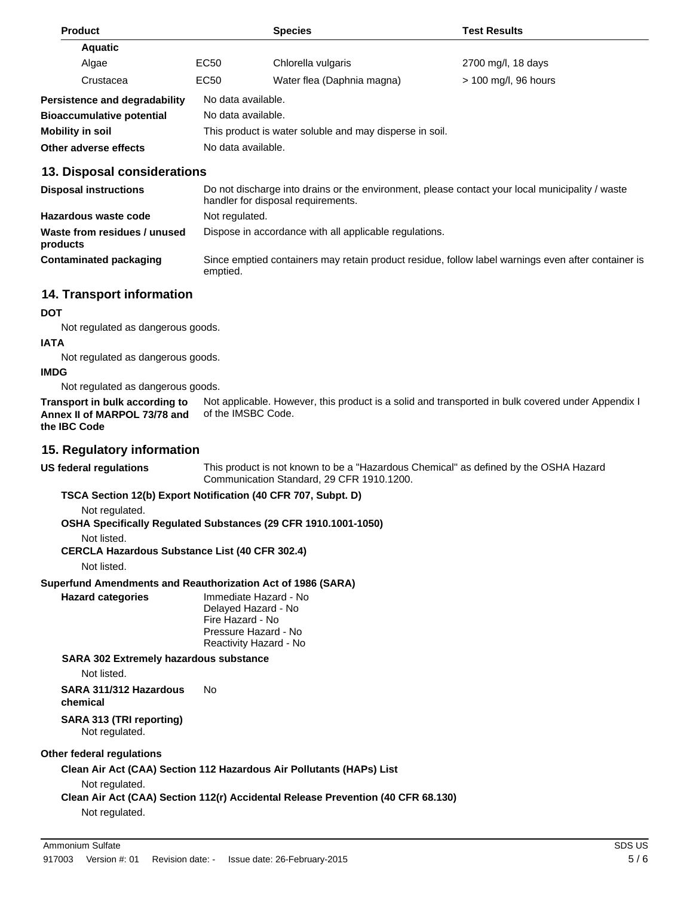| <b>Product</b>                              |                                  | <b>Species</b>                                          | <b>Test Results</b>        |                      |  |
|---------------------------------------------|----------------------------------|---------------------------------------------------------|----------------------------|----------------------|--|
|                                             | <b>Aquatic</b>                   |                                                         |                            |                      |  |
|                                             | Algae                            | EC <sub>50</sub>                                        | Chlorella vulgaris         | 2700 mg/l, 18 days   |  |
|                                             | Crustacea                        | EC <sub>50</sub>                                        | Water flea (Daphnia magna) | > 100 mg/l, 96 hours |  |
| <b>Persistence and degradability</b>        |                                  |                                                         | No data available.         |                      |  |
|                                             | <b>Bioaccumulative potential</b> | No data available.                                      |                            |                      |  |
|                                             | Mobility in soil                 | This product is water soluble and may disperse in soil. |                            |                      |  |
| No data available.<br>Other adverse effects |                                  |                                                         |                            |                      |  |
|                                             |                                  |                                                         |                            |                      |  |

### **13. Disposal considerations**

| <b>Disposal instructions</b>             | Do not discharge into drains or the environment, please contact your local municipality / waste<br>handler for disposal requirements. |
|------------------------------------------|---------------------------------------------------------------------------------------------------------------------------------------|
| Hazardous waste code                     | Not regulated.                                                                                                                        |
| Waste from residues / unused<br>products | Dispose in accordance with all applicable regulations.                                                                                |
| Contaminated packaging                   | Since emptied containers may retain product residue, follow label warnings even after container is<br>emptied.                        |

## **14. Transport information**

#### **DOT**

Not regulated as dangerous goods.

#### **IATA**

Not regulated as dangerous goods.

#### **IMDG**

Not regulated as dangerous goods.

Not applicable. However, this product is a solid and transported in bulk covered under Appendix I of the IMSBC Code. **Transport in bulk according to Annex II of MARPOL 73/78 and the IBC Code**

## **15. Regulatory information**

**US federal regulations** This product is not known to be a "Hazardous Chemical" as defined by the OSHA Hazard Communication Standard, 29 CFR 1910.1200.

### **TSCA Section 12(b) Export Notification (40 CFR 707, Subpt. D)**

Not regulated.

**OSHA Specifically Regulated Substances (29 CFR 1910.1001-1050)**

### Not listed.

**CERCLA Hazardous Substance List (40 CFR 302.4)**

Not listed.

### **Superfund Amendments and Reauthorization Act of 1986 (SARA)**

**Hazard categories** Immediate Hazard - No Delayed Hazard - No Fire Hazard - No Pressure Hazard - No Reactivity Hazard - No

**SARA 302 Extremely hazardous substance**

Not listed.

**SARA 311/312 Hazardous chemical** No **SARA 313 (TRI reporting)**

Not regulated.

### **Other federal regulations**

**Clean Air Act (CAA) Section 112 Hazardous Air Pollutants (HAPs) List**

Not regulated.

**Clean Air Act (CAA) Section 112(r) Accidental Release Prevention (40 CFR 68.130)**

Not regulated.